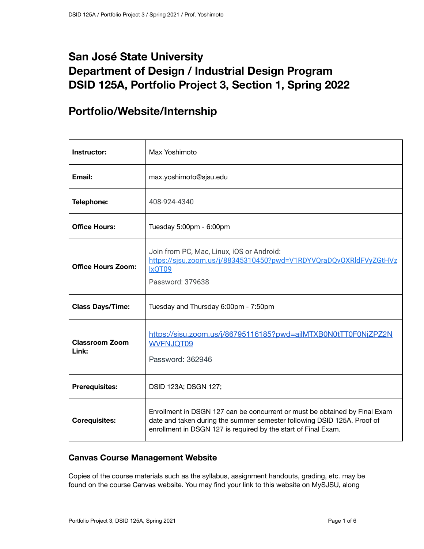# **San José State University Department of Design / Industrial Design Program DSID 125A, Portfolio Project 3, Section 1, Spring 2022**

## **Portfolio/Website/Internship**

| Instructor:                    | Max Yoshimoto                                                                                                                                                                                                           |
|--------------------------------|-------------------------------------------------------------------------------------------------------------------------------------------------------------------------------------------------------------------------|
| Email:                         | max.yoshimoto@sjsu.edu                                                                                                                                                                                                  |
| Telephone:                     | 408-924-4340                                                                                                                                                                                                            |
| <b>Office Hours:</b>           | Tuesday 5:00pm - 6:00pm                                                                                                                                                                                                 |
| <b>Office Hours Zoom:</b>      | Join from PC, Mac, Linux, iOS or Android:<br>https://sjsu.zoom.us/j/88345310450?pwd=V1RDYVQraDQvOXRIdFVyZGtHVz<br>IxQT09<br>Password: 379638                                                                            |
| <b>Class Days/Time:</b>        | Tuesday and Thursday 6:00pm - 7:50pm                                                                                                                                                                                    |
| <b>Classroom Zoom</b><br>Link: | https://sjsu.zoom.us/j/86795116185?pwd=ajlMTXB0N0tTT0F0NjZPZ2N<br><b>WVFNJQT09</b><br>Password: 362946                                                                                                                  |
| <b>Prerequisites:</b>          | DSID 123A; DSGN 127;                                                                                                                                                                                                    |
| <b>Corequisites:</b>           | Enrollment in DSGN 127 can be concurrent or must be obtained by Final Exam<br>date and taken during the summer semester following DSID 125A. Proof of<br>enrollment in DSGN 127 is required by the start of Final Exam. |

## **Canvas Course Management Website**

Copies of the course materials such as the syllabus, assignment handouts, grading, etc. may be found on the course Canvas website. You may find your link to this website on MySJSU, along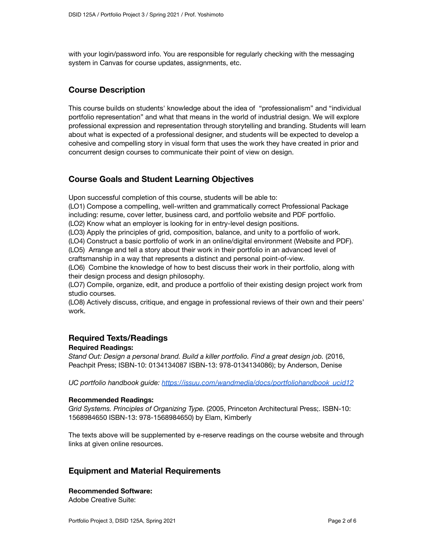with your login/password info. You are responsible for regularly checking with the messaging system in Canvas for course updates, assignments, etc.

### **Course Description**

This course builds on students' knowledge about the idea of "professionalism" and "individual portfolio representation" and what that means in the world of industrial design. We will explore professional expression and representation through storytelling and branding. Students will learn about what is expected of a professional designer, and students will be expected to develop a cohesive and compelling story in visual form that uses the work they have created in prior and concurrent design courses to communicate their point of view on design.

## **Course Goals and Student Learning Objectives**

Upon successful completion of this course, students will be able to:

(LO1) Compose a compelling, well-written and grammatically correct Professional Package including: resume, cover letter, business card, and portfolio website and PDF portfolio.

(LO2) Know what an employer is looking for in entry-level design positions.

(LO3) Apply the principles of grid, composition, balance, and unity to a portfolio of work.

(LO4) Construct a basic portfolio of work in an online/digital environment (Website and PDF). (LO5) Arrange and tell a story about their work in their portfolio in an advanced level of

craftsmanship in a way that represents a distinct and personal point-of-view.

(LO6) Combine the knowledge of how to best discuss their work in their portfolio, along with their design process and design philosophy.

(LO7) Compile, organize, edit, and produce a portfolio of their existing design project work from studio courses.

(LO8) Actively discuss, critique, and engage in professional reviews of their own and their peers' work.

#### **Required Texts/Readings**

#### **Required Readings:**

*Stand Out: Design a personal brand. Build a killer portfolio. Find a great design job.* (2016, Peachpit Press; ISBN-10: 0134134087 ISBN-13: 978-0134134086); by Anderson, Denise

*UC portfolio handbook guide: [https://issuu.com/wandmedia/docs/portfoliohandbook\\_ucid12](https://issuu.com/wandmedia/docs/portfoliohandbook_ucid12)*

#### **Recommended Readings:**

*Grid Systems. Principles of Organizing Type.* (2005, Princeton Architectural Press;. ISBN-10: 1568984650 ISBN-13: 978-1568984650) by Elam, Kimberly

The texts above will be supplemented by e-reserve readings on the course website and through links at given online resources.

#### **Equipment and Material Requirements**

#### **Recommended Software:**

Adobe Creative Suite: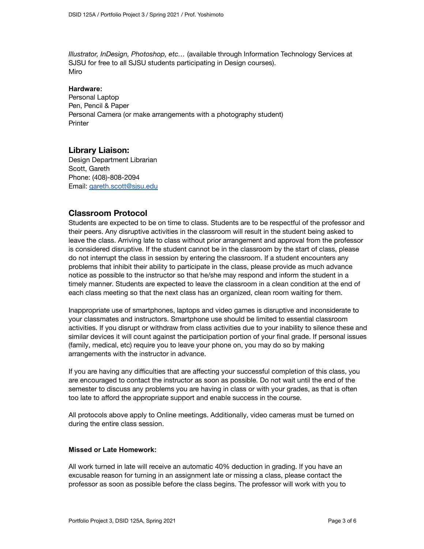*Illustrator, InDesign, Photoshop, etc…* (available through Information Technology Services at SJSU for free to all SJSU students participating in Design courses). Miro

#### **Hardware:**

Personal Laptop Pen, Pencil & Paper Personal Camera (or make arrangements with a photography student) **Printer** 

#### **Library Liaison:**

Design Department Librarian Scott, Gareth Phone: (408)-808-2094 Email: [gareth.scott@sjsu.edu](mailto:gareth.scott@sjsu.edu)

### **Classroom Protocol**

Students are expected to be on time to class. Students are to be respectful of the professor and their peers. Any disruptive activities in the classroom will result in the student being asked to leave the class. Arriving late to class without prior arrangement and approval from the professor is considered disruptive. If the student cannot be in the classroom by the start of class, please do not interrupt the class in session by entering the classroom. If a student encounters any problems that inhibit their ability to participate in the class, please provide as much advance notice as possible to the instructor so that he/she may respond and inform the student in a timely manner. Students are expected to leave the classroom in a clean condition at the end of each class meeting so that the next class has an organized, clean room waiting for them.

Inappropriate use of smartphones, laptops and video games is disruptive and inconsiderate to your classmates and instructors. Smartphone use should be limited to essential classroom activities. If you disrupt or withdraw from class activities due to your inability to silence these and similar devices it will count against the participation portion of your final grade. If personal issues (family, medical, etc) require you to leave your phone on, you may do so by making arrangements with the instructor in advance.

If you are having any difficulties that are affecting your successful completion of this class, you are encouraged to contact the instructor as soon as possible. Do not wait until the end of the semester to discuss any problems you are having in class or with your grades, as that is often too late to afford the appropriate support and enable success in the course.

All protocols above apply to Online meetings. Additionally, video cameras must be turned on during the entire class session.

#### **Missed or Late Homework:**

All work turned in late will receive an automatic 40% deduction in grading. If you have an excusable reason for turning in an assignment late or missing a class, please contact the professor as soon as possible before the class begins. The professor will work with you to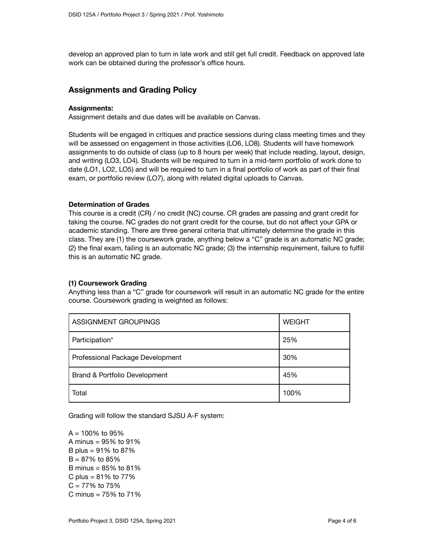develop an approved plan to turn in late work and still get full credit. Feedback on approved late work can be obtained during the professor's office hours.

#### **Assignments and Grading Policy**

#### **Assignments:**

Assignment details and due dates will be available on Canvas.

Students will be engaged in critiques and practice sessions during class meeting times and they will be assessed on engagement in those activities (LO6, LO8). Students will have homework assignments to do outside of class (up to 8 hours per week) that include reading, layout, design, and writing (LO3, LO4). Students will be required to turn in a mid-term portfolio of work done to date (LO1, LO2, LO5) and will be required to turn in a final portfolio of work as part of their final exam, or portfolio review (LO7), along with related digital uploads to Canvas.

#### **Determination of Grades**

This course is a credit (CR) / no credit (NC) course. CR grades are passing and grant credit for taking the course. NC grades do not grant credit for the course, but do not affect your GPA or academic standing. There are three general criteria that ultimately determine the grade in this class. They are (1) the coursework grade, anything below a "C" grade is an automatic NC grade; (2) the final exam, failing is an automatic NC grade; (3) the internship requirement, failure to fulfill this is an automatic NC grade.

#### **(1) Coursework Grading**

Anything less than a "C" grade for coursework will result in an automatic NC grade for the entire course. Coursework grading is weighted as follows:

| ASSIGNMENT GROUPINGS             | <b>WEIGHT</b> |
|----------------------------------|---------------|
| Participation*                   | 25%           |
| Professional Package Development | 30%           |
| Brand & Portfolio Development    | 45%           |
| Total                            | 100%          |

Grading will follow the standard SJSU A-F system:

 $A = 100\%$  to 95% A minus = 95% to 91% B plus =  $91\%$  to  $87\%$  $B = 87\%$  to 85% B minus = 85% to 81% C plus =  $81\%$  to  $77\%$  $C = 77\%$  to 75% C minus = 75% to 71%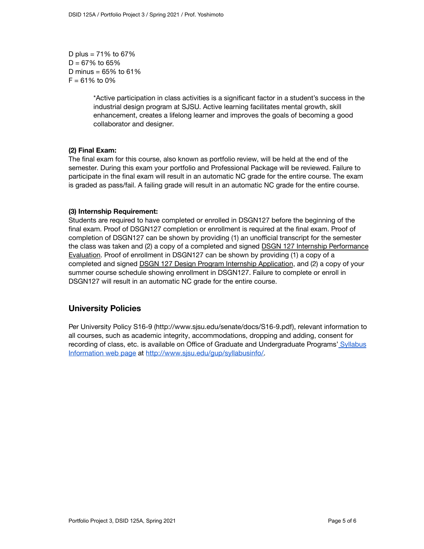D plus =  $71\%$  to  $67\%$  $D = 67\%$  to 65% D minus =  $65%$  to  $61%$  $F = 61\%$  to 0%

> \*Active participation in class activities is a significant factor in a student's success in the industrial design program at SJSU. Active learning facilitates mental growth, skill enhancement, creates a lifelong learner and improves the goals of becoming a good collaborator and designer.

#### **(2) Final Exam:**

The final exam for this course, also known as portfolio review, will be held at the end of the semester. During this exam your portfolio and Professional Package will be reviewed. Failure to participate in the final exam will result in an automatic NC grade for the entire course. The exam is graded as pass/fail. A failing grade will result in an automatic NC grade for the entire course.

#### **(3) Internship Requirement:**

Students are required to have completed or enrolled in DSGN127 before the beginning of the final exam. Proof of DSGN127 completion or enrollment is required at the final exam. Proof of completion of DSGN127 can be shown by providing (1) an unofficial transcript for the semester the class was taken and (2) a copy of a completed and signed DSGN 127 Internship [Performance](https://www.sjsu.edu/design/docs/tab_forms/undergrad_forms/internships/dsgn127_internship_performance_evaluation_v.pdf) [Evaluation](https://www.sjsu.edu/design/docs/tab_forms/undergrad_forms/internships/dsgn127_internship_performance_evaluation_v.pdf). Proof of enrollment in DSGN127 can be shown by providing (1) a copy of a completed and signed DSGN 127 Design Program Internship [Application](https://www.sjsu.edu/design/docs/tab_forms/undergrad_forms/internships/dsgn127_internship_application_F19.pdf), and (2) a copy of your summer course schedule showing enrollment in DSGN127. Failure to complete or enroll in DSGN127 will result in an automatic NC grade for the entire course.

## **University Policies**

Per University Policy S16-9 (http://www.sjsu.edu/senate/docs/S16-9.pdf), relevant information to all courses, such as academic integrity, accommodations, dropping and adding, consent for recording of class, etc. is available on Office of Graduate and Undergraduate Programs' [Syllabus](http://www.sjsu.edu/gup/syllabusinfo/) [Information](http://www.sjsu.edu/gup/syllabusinfo/) web page at [http://www.sjsu.edu/gup/syllabusinfo/.](http://www.sjsu.edu/gup/syllabusinfo/)